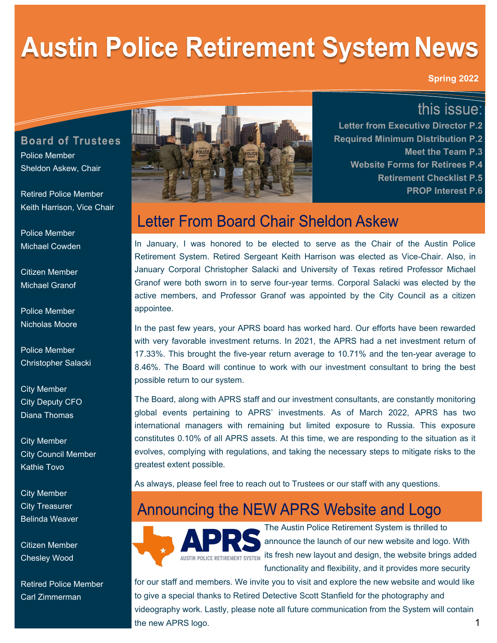# **Austin Police Retirement System News**

**Spring 2022**

## this issue:

**Board of Trustees** Police Member Sheldon Askew, Chair

Retired Police Member Keith Harrison, Vice Chair

Police Member Michael Cowden

Citizen Member Michael Granof

Police Member Nicholas Moore

Police Member Christopher Salacki

City Member City Deputy CFO Diana Thomas

City Member City Council Member Kathie Tovo

City Member City Treasurer Belinda Weaver

Citizen Member Chesley Wood

Retired Police Member Carl Zimmerman



**Letter from Executive Director P.2 Required Minimum Distribution P.2 Meet the Team P.3 Website Forms for Retirees P.4 Retirement Checklist P.5 PROP Interest P.6** 

# Letter From Board Chair Sheldon Askew

In January, I was honored to be elected to serve as the Chair of the Austin Police Retirement System. Retired Sergeant Keith Harrison was elected as Vice-Chair. Also, in January Corporal Christopher Salacki and University of Texas retired Professor Michael Granof were both sworn in to serve four-year terms. Corporal Salacki was elected by the active members, and Professor Granof was appointed by the City Council as a citizen appointee.

In the past few years, your APRS board has worked hard. Our efforts have been rewarded with very favorable investment returns. In 2021, the APRS had a net investment return of 17.33%. This brought the five-year return average to 10.71% and the ten-year average to 8.46%. The Board will continue to work with our investment consultant to bring the best possible return to our system.

The Board, along with APRS staff and our investment consultants, are constantly monitoring global events pertaining to APRS' investments. As of March 2022, APRS has two international managers with remaining but limited exposure to Russia. This exposure constitutes 0.10% of all APRS assets. At this time, we are responding to the situation as it evolves, complying with regulations, and taking the necessary steps to mitigate risks to the greatest extent possible.

As always, please feel free to reach out to Trustees or our staff with any questions.

# Announcing the NEW APRS Website and Logo



The Austin Police Retirement System is thrilled to announce the launch of our new website and logo. With  $\frac{1}{\text{AUSTIN POLICE RETIREMENT SYSTEM}$  its fresh new layout and design, the website brings added functionality and flexibility, and it provides more security

1 for our staff and members. We invite you to visit and explore the new website and would like to give a special thanks to Retired Detective Scott Stanfield for the photography and videography work. Lastly, please note all future communication from the System will contain the new APRS logo.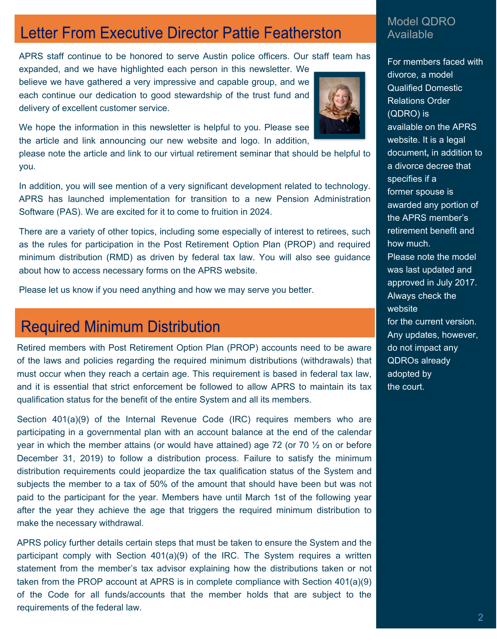# **Letter From Executive Director Pattie Featherston**

APRS staff continue to be honored to serve Austin police officers. Our staff team has

expanded, and we have highlighted each person in this newsletter. We believe we have gathered a very impressive and capable group, and we each continue our dedication to good stewardship of the trust fund and delivery of excellent customer service.



We hope the information in this newsletter is helpful to you. Please see the article and link announcing our new website and logo. In addition,

please note the article and link to our virtual retirement seminar that should be helpful to you.

In addition, you will see mention of a very significant development related to technology. APRS has launched implementation for transition to a new Pension Administration Software (PAS). We are excited for it to come to fruition in 2024.

There are a variety of other topics, including some especially of interest to retirees, such as the rules for participation in the Post Retirement Option Plan (PROP) and required minimum distribution (RMD) as driven by federal tax law. You will also see guidance about how to access necessary forms on the APRS website.

Please let us know if you need anything and how we may serve you better.

## **Required Minimum Distribution**

Retired members with Post Retirement Option Plan (PROP) accounts need to be aware of the laws and policies regarding the required minimum distributions (withdrawals) that must occur when they reach a certain age. This requirement is based in federal tax law, and it is essential that strict enforcement be followed to allow APRS to maintain its tax qualification status for the benefit of the entire System and all its members.

Section  $401(a)(9)$  of the Internal Revenue Code (IRC) requires members who are participating in a governmental plan with an account balance at the end of the calendar year in which the member attains (or would have attained) age 72 (or 70  $\frac{1}{2}$  on or before December 31, 2019) to follow a distribution process. Failure to satisfy the minimum distribution requirements could jeopardize the tax qualification status of the System and subjects the member to a tax of 50% of the amount that should have been but was not paid to the participant for the year. Members have until March 1st of the following year after the year they achieve the age that triggers the required minimum distribution to make the necessary withdrawal.

APRS policy further details certain steps that must be taken to ensure the System and the participant comply with Section 401(a)(9) of the IRC. The System requires a written statement from the member's tax advisor explaining how the distributions taken or not taken from the PROP account at APRS is in complete compliance with Section 401(a)(9) of the Code for all funds/accounts that the member holds that are subject to the requirements of the federal law.

#### Model QDRO Available

For members faced with divorce, a model Qualified Domestic Relations Order (QDRO) is available on the APRS website. It is a legal document**,** in addition to a divorce decree that specifies if a former spouse is awarded any portion of the APRS member's retirement benefit and how much. Please note the model was last updated and approved in July 2017. Always check the website for the current version. Any updates, however, do not impact any QDROs already adopted by the court.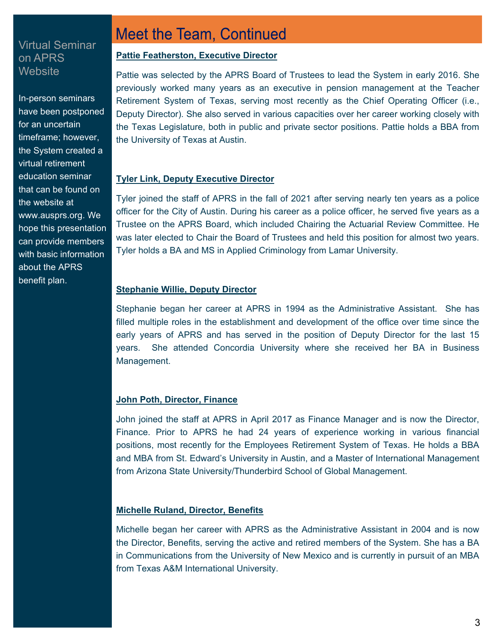#### Virtual Seminar on APRS Website

In-person seminars have been postponed for an uncertain timeframe; however, the System created a virtual retirement education seminar that can be found on the website at www.ausprs.org. We hope this presentation can provide members with basic information about the APRS benefit plan.

### **Meet the Team, Continued**

#### **Pattie Featherston, Executive Director**

Pattie was selected by the APRS Board of Trustees to lead the System in early 2016. She previously worked many years as an executive in pension management at the Teacher Retirement System of Texas, serving most recently as the Chief Operating Officer (i.e., Deputy Director). She also served in various capacities over her career working closely with the Texas Legislature, both in public and private sector positions. Pattie holds a BBA from the University of Texas at Austin.

#### **Tyler Link, Deputy Executive Director**

Tyler joined the staff of APRS in the fall of 2021 after serving nearly ten years as a police officer for the City of Austin. During his career as a police officer, he served five years as a Trustee on the APRS Board, which included Chairing the Actuarial Review Committee. He was later elected to Chair the Board of Trustees and held this position for almost two years. Tyler holds a BA and MS in Applied Criminology from Lamar University.

#### **Stephanie Willie, Deputy Director**

Stephanie began her career at APRS in 1994 as the Administrative Assistant. She has filled multiple roles in the establishment and development of the office over time since the early years of APRS and has served in the position of Deputy Director for the last 15 years. She attended Concordia University where she received her BA in Business Management.

#### **John Poth, Director, Finance**

John joined the staff at APRS in April 2017 as Finance Manager and is now the Director, Finance. Prior to APRS he had 24 years of experience working in various financial positions, most recently for the Employees Retirement System of Texas. He holds a BBA and MBA from St. Edward's University in Austin, and a Master of International Management from Arizona State University/Thunderbird School of Global Management.

#### **Michelle Ruland, Director, Benefits**

Michelle began her career with APRS as the Administrative Assistant in 2004 and is now the Director, Benefits, serving the active and retired members of the System. She has a BA in Communications from the University of New Mexico and is currently in pursuit of an MBA from Texas A&M International University.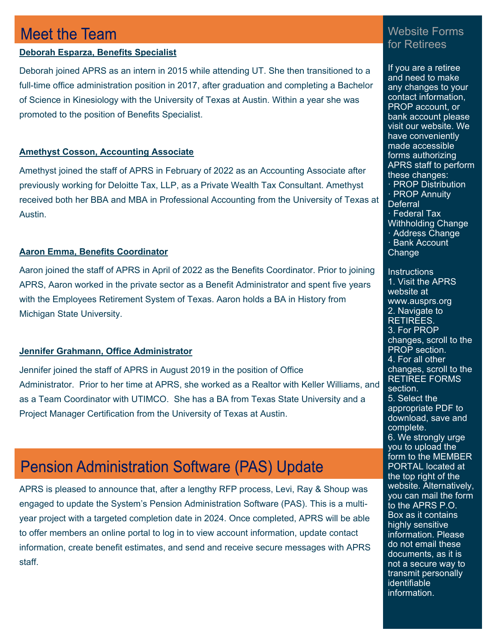### **Meet the Team**

#### **Deborah Esparza, Benefits Specialist**

Deborah joined APRS as an intern in 2015 while attending UT. She then transitioned to a full-time office administration position in 2017, after graduation and completing a Bachelor of Science in Kinesiology with the University of Texas at Austin. Within a year she was promoted to the position of Benefits Specialist.

#### **Amethyst Cosson, Accounting Associate**

Amethyst joined the staff of APRS in February of 2022 as an Accounting Associate after previously working for Deloitte Tax, LLP, as a Private Wealth Tax Consultant. Amethyst received both her BBA and MBA in Professional Accounting from the University of Texas at Austin.

#### **Aaron Emma, Benefits Coordinator**

Aaron joined the staff of APRS in April of 2022 as the Benefits Coordinator. Prior to joining APRS, Aaron worked in the private sector as a Benefit Administrator and spent five years with the Employees Retirement System of Texas. Aaron holds a BA in History from Michigan State University.

#### **Jennifer Grahmann, Office Administrator**

Jennifer joined the staff of APRS in August 2019 in the position of Office Administrator. Prior to her time at APRS, she worked as a Realtor with Keller Williams, and as a Team Coordinator with UTIMCO. She has a BA from Texas State University and a Project Manager Certification from the University of Texas at Austin.

# **Pension Administration Software (PAS) Update**

APRS is pleased to announce that, after a lengthy RFP process, Levi, Ray & Shoup was engaged to update the System's Pension Administration Software (PAS). This is a multiyear project with a targeted completion date in 2024. Once completed, APRS will be able to offer members an online portal to log in to view account information, update contact information, create benefit estimates, and send and receive secure messages with APRS staff.

### Website Forms for Retirees

If you are a retiree and need to make any changes to your contact information, PROP account, or bank account please visit our website. We have conveniently made accessible forms authorizing APRS staff to perform these changes: · PROP Distribution · PROP Annuity **Deferral** · Federal Tax Withholding Change · Address Change · Bank Account Change

**Instructions** 1. Visit the APRS website at www.ausprs.org 2. Navigate to RETIREES. 3. For PROP changes, scroll to the PROP section. 4. For all other changes, scroll to the RETIREE FORMS section. 5. Select the appropriate PDF to download, save and complete. 6. We strongly urge you to upload the form to the MEMBER PORTAL located at the top right of the website. Alternatively, you can mail the form to the APRS P.O. Box as it contains highly sensitive information. Please do not email these documents, as it is not a secure way to transmit personally identifiable information.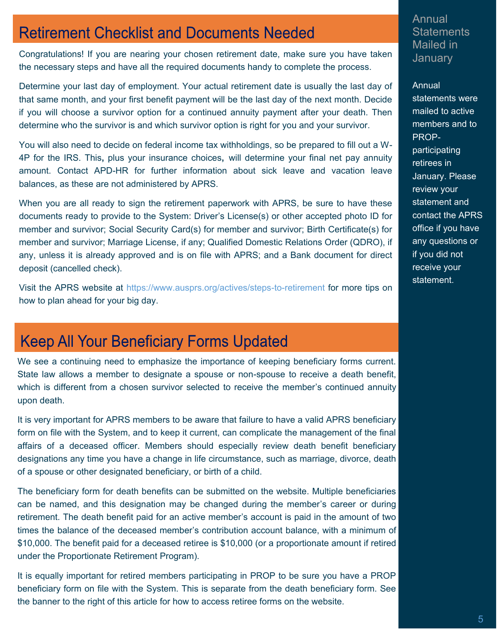# **Retirement Checklist and Documents Needed**

Congratulations! If you are nearing your chosen retirement date, make sure you have taken the necessary steps and have all the required documents handy to complete the process.

Determine your last day of employment. Your actual retirement date is usually the last day of that same month, and your first benefit payment will be the last day of the next month. Decide if you will choose a survivor option for a continued annuity payment after your death. Then determine who the survivor is and which survivor option is right for you and your survivor.

You will also need to decide on federal income tax withholdings, so be prepared to fill out a W-4P for the IRS. This**,** plus your insurance choices**,** will determine your final net pay annuity amount. Contact APD-HR for further information about sick leave and vacation leave balances, as these are not administered by APRS.

When you are all ready to sign the retirement paperwork with APRS, be sure to have these documents ready to provide to the System: Driver's License(s) or other accepted photo ID for member and survivor; Social Security Card(s) for member and survivor; Birth Certificate(s) for member and survivor; Marriage License, if any; Qualified Domestic Relations Order (QDRO), if any, unless it is already approved and is on file with APRS; and a Bank document for direct deposit (cancelled check).

Visit the APRS website at https://www.ausprs.org/actives/steps-to-retirement for more tips on how to plan ahead for your big day.

# **Keep All Your Beneficiary Forms Updated**

We see a continuing need to emphasize the importance of keeping beneficiary forms current. State law allows a member to designate a spouse or non-spouse to receive a death benefit, which is different from a chosen survivor selected to receive the member's continued annuity upon death.

It is very important for APRS members to be aware that failure to have a valid APRS beneficiary form on file with the System, and to keep it current, can complicate the management of the final affairs of a deceased officer. Members should especially review death benefit beneficiary designations any time you have a change in life circumstance, such as marriage, divorce, death of a spouse or other designated beneficiary, or birth of a child.

The beneficiary form for death benefits can be submitted on the website. Multiple beneficiaries can be named, and this designation may be changed during the member's career or during retirement. The death benefit paid for an active member's account is paid in the amount of two times the balance of the deceased member's contribution account balance, with a minimum of \$10,000. The benefit paid for a deceased retiree is \$10,000 (or a proportionate amount if retired under the Proportionate Retirement Program).

It is equally important for retired members participating in PROP to be sure you have a PROP beneficiary form on file with the System. This is separate from the death beneficiary form. See the banner to the right of this article for how to access retiree forms on the website.

Annual **Statements** Mailed in January

Annual statements were mailed to active members and to PROPparticipating retirees in January. Please review your statement and contact the APRS office if you have any questions or if you did not receive your statement.